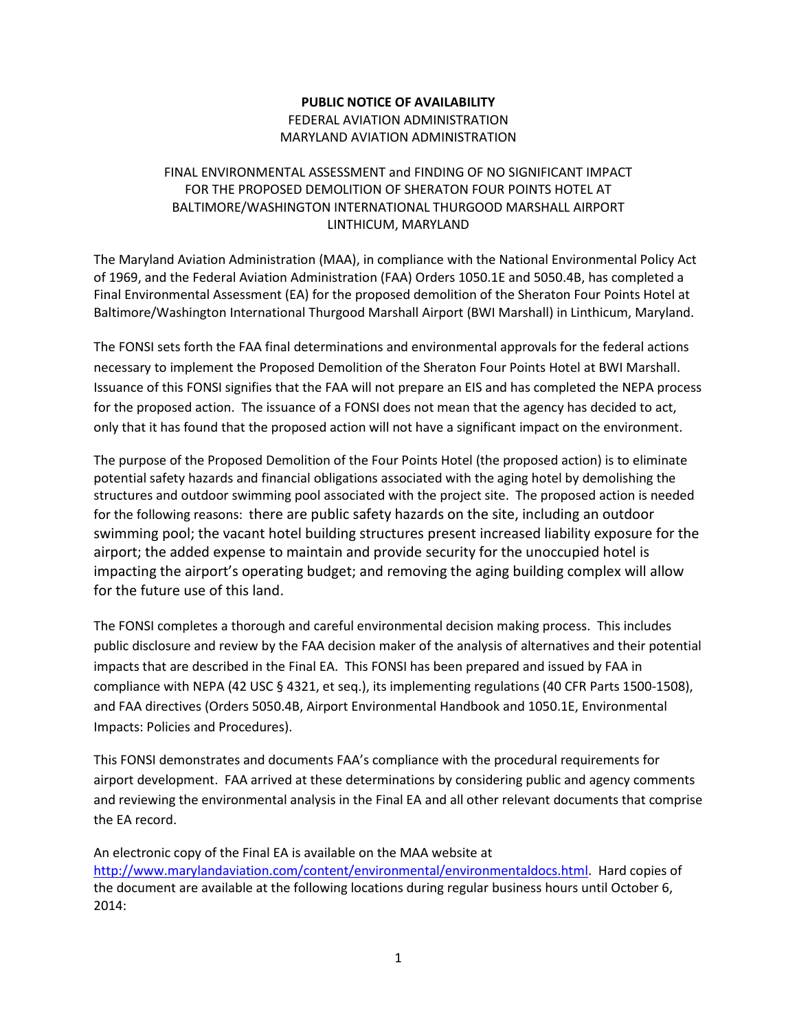## **PUBLIC NOTICE OF AVAILABILITY** FEDERAL AVIATION ADMINISTRATION MARYLAND AVIATION ADMINISTRATION

## FINAL ENVIRONMENTAL ASSESSMENT and FINDING OF NO SIGNIFICANT IMPACT FOR THE PROPOSED DEMOLITION OF SHERATON FOUR POINTS HOTEL AT BALTIMORE/WASHINGTON INTERNATIONAL THURGOOD MARSHALL AIRPORT LINTHICUM, MARYLAND

The Maryland Aviation Administration (MAA), in compliance with the National Environmental Policy Act of 1969, and the Federal Aviation Administration (FAA) Orders 1050.1E and 5050.4B, has completed a Final Environmental Assessment (EA) for the proposed demolition of the Sheraton Four Points Hotel at Baltimore/Washington International Thurgood Marshall Airport (BWI Marshall) in Linthicum, Maryland.

The FONSI sets forth the FAA final determinations and environmental approvals for the federal actions necessary to implement the Proposed Demolition of the Sheraton Four Points Hotel at BWI Marshall. Issuance of this FONSI signifies that the FAA will not prepare an EIS and has completed the NEPA process for the proposed action. The issuance of a FONSI does not mean that the agency has decided to act, only that it has found that the proposed action will not have a significant impact on the environment.

The purpose of the Proposed Demolition of the Four Points Hotel (the proposed action) is to eliminate potential safety hazards and financial obligations associated with the aging hotel by demolishing the structures and outdoor swimming pool associated with the project site. The proposed action is needed for the following reasons: there are public safety hazards on the site, including an outdoor swimming pool; the vacant hotel building structures present increased liability exposure for the airport; the added expense to maintain and provide security for the unoccupied hotel is impacting the airport's operating budget; and removing the aging building complex will allow for the future use of this land.

The FONSI completes a thorough and careful environmental decision making process. This includes public disclosure and review by the FAA decision maker of the analysis of alternatives and their potential impacts that are described in the Final EA. This FONSI has been prepared and issued by FAA in compliance with NEPA (42 USC § 4321, et seq.), its implementing regulations (40 CFR Parts 1500-1508), and FAA directives (Orders 5050.4B, Airport Environmental Handbook and 1050.1E, Environmental Impacts: Policies and Procedures).

This FONSI demonstrates and documents FAA's compliance with the procedural requirements for airport development. FAA arrived at these determinations by considering public and agency comments and reviewing the environmental analysis in the Final EA and all other relevant documents that comprise the EA record.

An electronic copy of the Final EA is available on the MAA website at [http://www.marylandaviation.com/content/environmental/environmentaldocs.html.](http://www.marylandaviation.com/content/environmental/environmentaldocs.html) Hard copies of the document are available at the following locations during regular business hours until October 6, 2014: